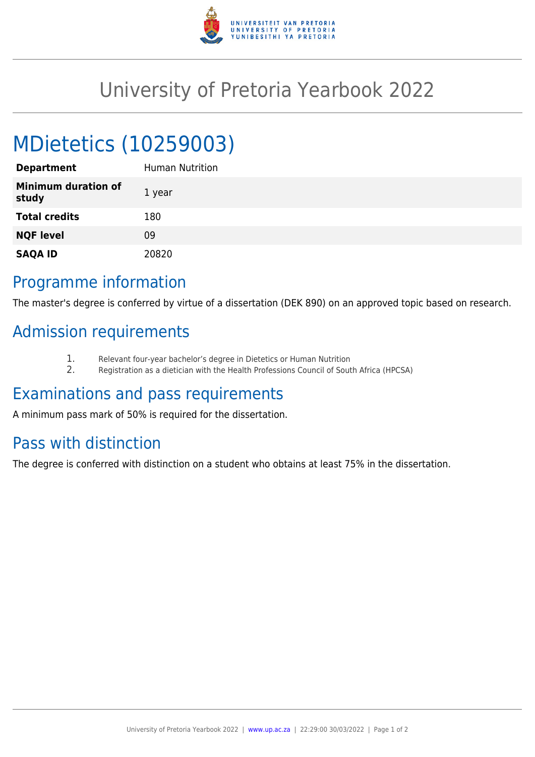

## University of Pretoria Yearbook 2022

# MDietetics (10259003)

| <b>Department</b>                   | Human Nutrition |
|-------------------------------------|-----------------|
| <b>Minimum duration of</b><br>study | 1 year          |
| <b>Total credits</b>                | 180             |
| <b>NQF level</b>                    | 09              |
| <b>SAQA ID</b>                      | 20820           |

#### Programme information

The master's degree is conferred by virtue of a dissertation (DEK 890) on an approved topic based on research.

### Admission requirements

- 1. Relevant four-year bachelor's degree in Dietetics or Human Nutrition<br>2. Registration as a dietician with the Health Professions Council of Sout
- 2. Registration as a dietician with the Health Professions Council of South Africa (HPCSA)

### Examinations and pass requirements

A minimum pass mark of 50% is required for the dissertation.

## Pass with distinction

The degree is conferred with distinction on a student who obtains at least 75% in the dissertation.